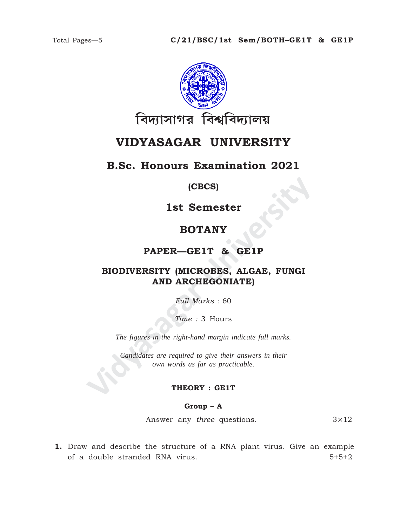

# **VIDYASAGAR UNIVERSITY**

### **B.Sc. Honours Examination 2021**

**(CBCS)**

**1st Semester**

## **BOTANY**

**PAPER—GE1T & GE1P**

# **IST SEMESTER (CBCS)<br>
IST SEMESTER BOTANY<br>
PAPER—GE1T & GE1P<br>
BIODIVERSITY (MICROBES, ALGAE, FUNGI<br>
AND ARCHEGONIATE)<br>
Full Marks : 60<br>
Time : 3 Hours<br>
The figures in the right-hand margin indicate full marks.<br>
Candidates BIODIVERSITY (MICROBES, ALGAE, FUNGI AND ARCHEGONIATE)**

*Full Marks :* 60

*Time :* 3 Hours

*The figures in the right-hand margin indicate full marks.*

*Candidates are required to give their answers in their own words as far as practicable.*

#### **THEORY : GE1T**

**Group – A**

Answer any *three* questions. 3×12

**1.** Draw and describe the structure of a RNA plant virus. Give an example of a double stranded RNA virus. 5+5+2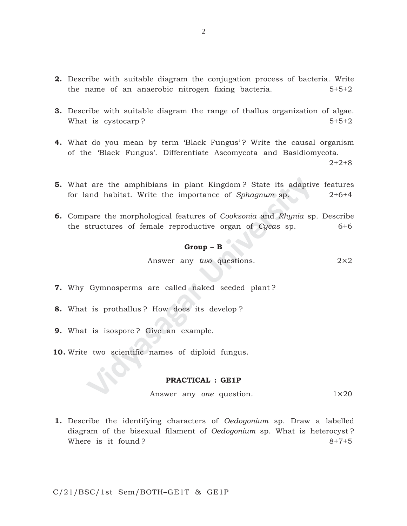- **2.** Describe with suitable diagram the conjugation process of bacteria. Write the name of an anaerobic nitrogen fixing bacteria. 5+5+2
- **3.** Describe with suitable diagram the range of thallus organization of algae. What is cystocarp ?  $5+5+2$
- **4.** What do you mean by term 'Black Fungus'? Write the causal organism of the 'Black Fungus'. Differentiate Ascomycota and Basidiomycota. 2+2+8
- Fraction and habitat. Write the importance of *Sphagnum* sp.<br>
Space the morphological features of *Cooksonia* and *Rhynia* sp.<br>
Space the morphological features of *Cooksonia* and *Rhynia* sp.<br> **Group B**<br>
Answer any *two* **5.** What are the amphibians in plant Kingdom ? State its adaptive features for land habitat. Write the importance of *Sphagnum* sp. 2+6+4
- **6.** Compare the morphological features of *Cooksonia* and *Rhynia* sp. Describe the structures of female reproductive organ of *Cycas* sp. 6+6

# **Group – B**

Answer any *two* questions. 2×2

- **7.** Why Gymnosperms are called naked seeded plant ?
- **8.** What is prothallus ? How does its develop ?
- **9.** What is isospore ? Give an example.
- **10.** Write two scientific names of diploid fungus.

#### **PRACTICAL : GE1P**

Answer any *one* question. 1×20

**1.** Describe the identifying characters of *Oedogonium* sp. Draw a labelled diagram of the bisexual filament of *Oedogonium* sp. What is heterocyst ? Where is it found ?  $8+7+5$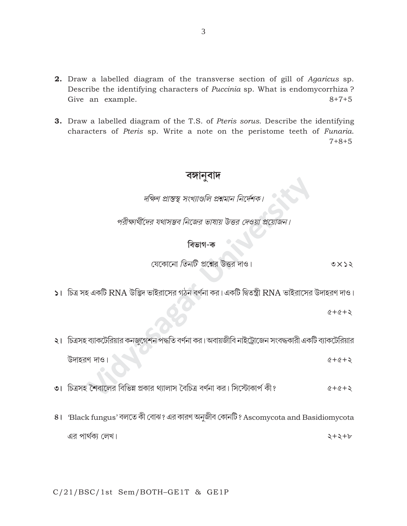- **2.** Draw a labelled diagram of the transverse section of gill of Agaricus sp. Describe the identifying characters of *Puccinia* sp. What is endomycorrhiza? Give an example.  $8 + 7 + 5$
- 3. Draw a labelled diagram of the T.S. of Pteris sorus. Describe the identifying characters of Pteris sp. Write a note on the peristome teeth of Funaria.  $7 + 8 + 5$

# বঙ্গানুবাদ

দক্ষিণ প্রান্তস্থ সংখ্যাণ্ডলি প্রশ্নমান নির্দেশক।

পরীক্ষার্থীদের যথাসম্ভব নিজের ভাষায় উত্তর দেওয়া প্রয়োজন

## বিভাগ-ক

যেকোনো তিনটি প্রশ্নের উত্তর দাও।  $0 x$ 

১। চিত্র সহ একটি RNA উদ্ভিদ ভাইরাসের গঠন বর্ণনা কর। একটি দ্বিতন্ত্রী RNA ভাইরাসের উদাহরণ দাও।

 $6 + 6 + 9$ 

২। চিত্রসহ ব্যাকটেরিয়ার কনজুগেশন পদ্ধতি বর্ণনা কর। অবায়জীবি নাইট্রোজেন সংবদ্ধকারী একটি ব্যাকটেরিয়ার উদাহরণ দাও।  $6 + 6 + 5$ 

- ৩। চিত্রসহ শৈবালের বিভিন্ন প্রকার থ্যালাস বৈচিত্র বর্ণনা কর। সিস্টোকার্প কী?  $6 + 6 + 5$
- 8। Black fungus' বলতে কী বোঝ? এর কারণ অনুজীব কোনটি? Ascomycota and Basidiomycota এর পার্থক্য লেখ।  $2 + 2 + 6$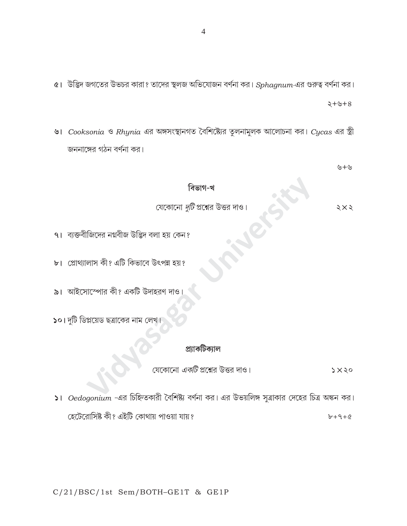৫। উদ্ভিদ জগতের উভচর কারা? তাদের স্থলজ অভিযোজন বর্ণনা কর।  $Sphagnum$ -এর গুরুত্ব বর্ণনা কর।

৬। Cooksonia ও Rhynia এর অঙ্গসংস্থানগত বৈশিষ্ট্যের তুলনামুলক আলোচনা কর। Cycas এর স্ত্রী জননাঙ্গের গঠন বর্ণনা কর।

৬+৬

 $8 + 6 + 8$ 

#### বিভাগ-খ

যেকোনো *দুটি* প্রশ্নের উত্তর দাও।

- ৭। ব্যক্তবীজিদের নগ্নবীজ উদ্ভিদ বলা হয় কেন?
- ৮। প্রোথ্যালাস কী? এটি কিভাবে উৎপন্ন হয়?
- $\mathbf{a}$ । আইসোস্পোর কী? একটি উদাহরণ দাও
- ১০। দুটি ডিপ্লয়েড ছত্রাকের নাম লেখ

#### প্ৰ্যাকটিক্যাল

যেকোনো *একটি* প্রশ্নের উত্তর দাও।  $5x30$ 

 $\vert$ । Oedogonium -এর চিহ্নিতকারী বৈশিষ্ট্য বর্ণনা কর। এর উভয়লিঙ্গ সুত্রাকার দেহের চিত্র অঙ্কন কর। হেটেরোসিষ্ট কী? এইটি কোথায় পাওয়া যায়?  $b + 9 + 6$ 

 $5\times$